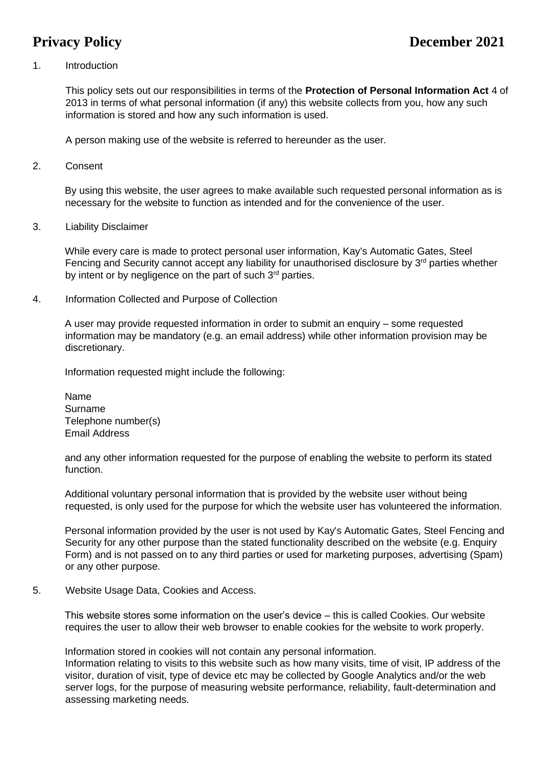# 1. Introduction

This policy sets out our responsibilities in terms of the **Protection of Personal Information Act** 4 of 2013 in terms of what personal information (if any) this website collects from you, how any such information is stored and how any such information is used.

A person making use of the website is referred to hereunder as the user.

2. Consent

By using this website, the user agrees to make available such requested personal information as is necessary for the website to function as intended and for the convenience of the user.

3. Liability Disclaimer

While every care is made to protect personal user information, Kay's Automatic Gates, Steel Fencing and Security cannot accept any liability for unauthorised disclosure by  $3<sup>rd</sup>$  parties whether by intent or by negligence on the part of such  $3<sup>rd</sup>$  parties.

4. Information Collected and Purpose of Collection

A user may provide requested information in order to submit an enquiry – some requested information may be mandatory (e.g. an email address) while other information provision may be discretionary.

Information requested might include the following:

Name Surname Telephone number(s) Email Address

and any other information requested for the purpose of enabling the website to perform its stated function.

Additional voluntary personal information that is provided by the website user without being requested, is only used for the purpose for which the website user has volunteered the information.

Personal information provided by the user is not used by Kay's Automatic Gates, Steel Fencing and Security for any other purpose than the stated functionality described on the website (e.g. Enquiry Form) and is not passed on to any third parties or used for marketing purposes, advertising (Spam) or any other purpose.

5. Website Usage Data, Cookies and Access.

This website stores some information on the user's device – this is called Cookies. Our website requires the user to allow their web browser to enable cookies for the website to work properly.

Information stored in cookies will not contain any personal information.

Information relating to visits to this website such as how many visits, time of visit, IP address of the visitor, duration of visit, type of device etc may be collected by Google Analytics and/or the web server logs, for the purpose of measuring website performance, reliability, fault-determination and assessing marketing needs.